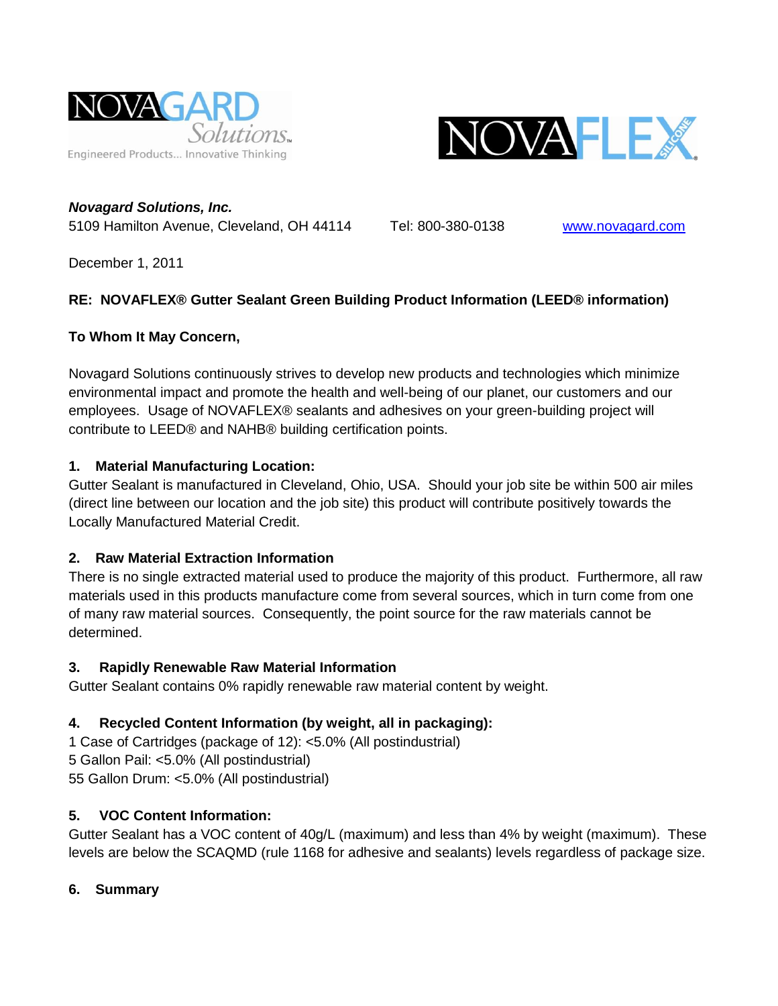



*Novagard Solutions, Inc.* 5109 Hamilton Avenue, Cleveland, OH 44114 Tel: 800-380-0138 [www.novagard.com](http://www.novagard.com/)

December 1, 2011

## **RE: NOVAFLEX® Gutter Sealant Green Building Product Information (LEED® information)**

## **To Whom It May Concern,**

Novagard Solutions continuously strives to develop new products and technologies which minimize environmental impact and promote the health and well-being of our planet, our customers and our employees. Usage of NOVAFLEX® sealants and adhesives on your green-building project will contribute to LEED® and NAHB® building certification points.

## **1. Material Manufacturing Location:**

Gutter Sealant is manufactured in Cleveland, Ohio, USA. Should your job site be within 500 air miles (direct line between our location and the job site) this product will contribute positively towards the Locally Manufactured Material Credit.

# **2. Raw Material Extraction Information**

There is no single extracted material used to produce the majority of this product. Furthermore, all raw materials used in this products manufacture come from several sources, which in turn come from one of many raw material sources. Consequently, the point source for the raw materials cannot be determined.

### **3. Rapidly Renewable Raw Material Information**

Gutter Sealant contains 0% rapidly renewable raw material content by weight.

# **4. Recycled Content Information (by weight, all in packaging):**

1 Case of Cartridges (package of 12): <5.0% (All postindustrial) 5 Gallon Pail: <5.0% (All postindustrial) 55 Gallon Drum: <5.0% (All postindustrial)

# **5. VOC Content Information:**

Gutter Sealant has a VOC content of 40g/L (maximum) and less than 4% by weight (maximum). These levels are below the SCAQMD (rule 1168 for adhesive and sealants) levels regardless of package size.

# **6. Summary**